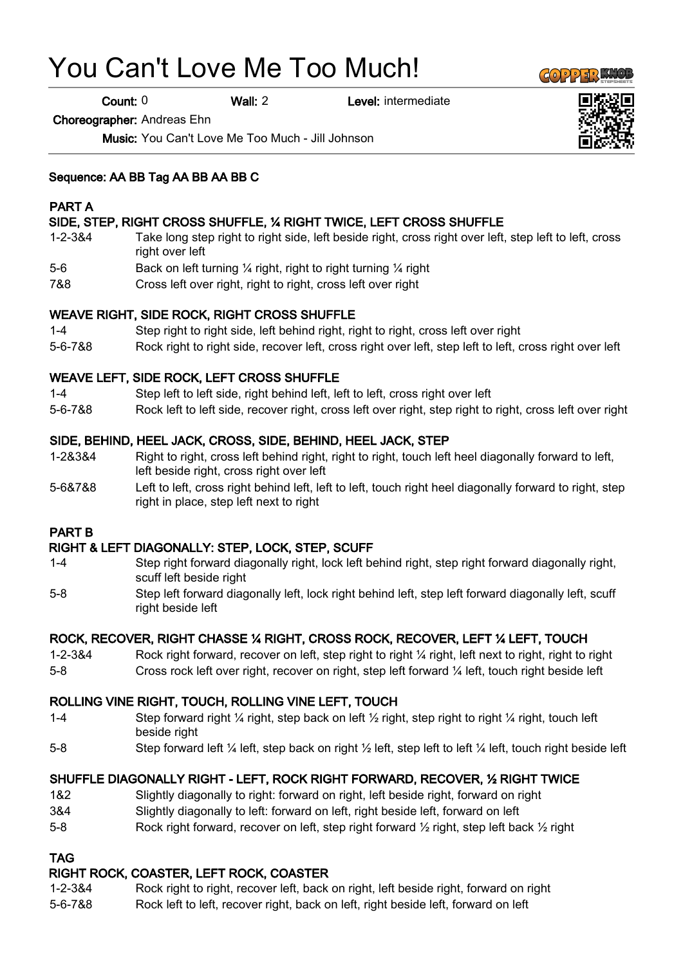# You Can't Love Me Too Much!

Count: 0 Wall: 2 Level: intermediate

Choreographer: Andreas Ehn

Music: You Can't Love Me Too Much - Jill Johnson

#### Sequence: AA BB Tag AA BB AA BB C

#### PART A

# SIDE, STEP, RIGHT CROSS SHUFFLE, ¼ RIGHT TWICE, LEFT CROSS SHUFFLE

- 1-2-3&4 Take long step right to right side, left beside right, cross right over left, step left to left, cross right over left
- 5-6 Back on left turning ¼ right, right to right turning ¼ right
- 7&8 Cross left over right, right to right, cross left over right

#### WEAVE RIGHT, SIDE ROCK, RIGHT CROSS SHUFFLE

- 1-4 Step right to right side, left behind right, right to right, cross left over right
- 5-6-7&8 Rock right to right side, recover left, cross right over left, step left to left, cross right over left

#### WEAVE LEFT, SIDE ROCK, LEFT CROSS SHUFFLE

- 1-4 Step left to left side, right behind left, left to left, cross right over left
- 5-6-7&8 Rock left to left side, recover right, cross left over right, step right to right, cross left over right

#### SIDE, BEHIND, HEEL JACK, CROSS, SIDE, BEHIND, HEEL JACK, STEP

- 1-2&3&4 Right to right, cross left behind right, right to right, touch left heel diagonally forward to left, left beside right, cross right over left
- 5-6&7&8 Left to left, cross right behind left, left to left, touch right heel diagonally forward to right, step right in place, step left next to right

#### PART B

#### RIGHT & LEFT DIAGONALLY: STEP, LOCK, STEP, SCUFF

- 1-4 Step right forward diagonally right, lock left behind right, step right forward diagonally right, scuff left beside right
- 5-8 Step left forward diagonally left, lock right behind left, step left forward diagonally left, scuff right beside left

# ROCK, RECOVER, RIGHT CHASSE ¼ RIGHT, CROSS ROCK, RECOVER, LEFT ¼ LEFT, TOUCH

- 1-2-3&4 Rock right forward, recover on left, step right to right ¼ right, left next to right, right to right
- 5-8 Cross rock left over right, recover on right, step left forward ¼ left, touch right beside left

# ROLLING VINE RIGHT, TOUCH, ROLLING VINE LEFT, TOUCH

- 1-4 Step forward right  $\frac{1}{4}$  right, step back on left  $\frac{1}{2}$  right, step right to right  $\frac{1}{4}$  right, touch left beside right
- 5-8 Step forward left ¼ left, step back on right ½ left, step left to left ¼ left, touch right beside left

# SHUFFLE DIAGONALLY RIGHT - LEFT, ROCK RIGHT FORWARD, RECOVER, ½ RIGHT TWICE

- 1&2 Slightly diagonally to right: forward on right, left beside right, forward on right
- 3&4 Slightly diagonally to left: forward on left, right beside left, forward on left
- 5-8 Rock right forward, recover on left, step right forward  $\frac{1}{2}$  right, step left back  $\frac{1}{2}$  right

#### TAG

# RIGHT ROCK, COASTER, LEFT ROCK, COASTER

- 1-2-3&4 Rock right to right, recover left, back on right, left beside right, forward on right
- 5-6-7&8 Rock left to left, recover right, back on left, right beside left, forward on left